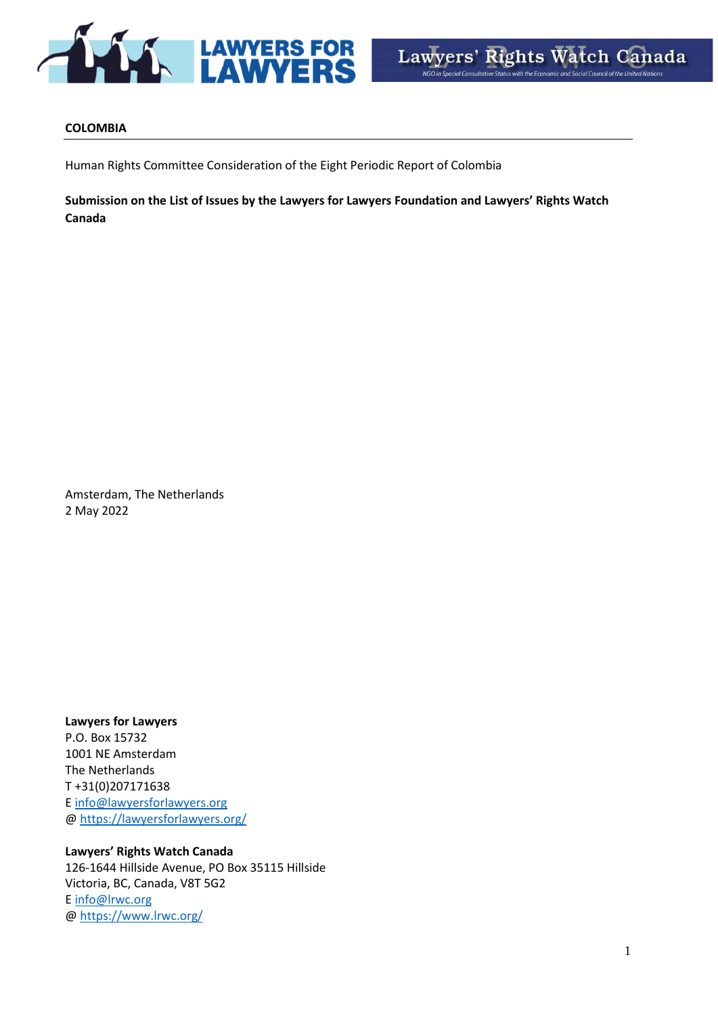

#### **COLOMBIA**

Human Rights Committee Consideration of the Eight Periodic Report of Colombia

**Submission on the List of Issues by the Lawyers for Lawyers Foundation and Lawyers' Rights Watch Canada** 

Amsterdam, The Netherlands 2 May 2022

**Lawyers for Lawyers**  P.O. Box 15732 1001 NE Amsterdam The Netherlands T +31(0)207171638 E [info@lawyersforlawyers.org](mailto:info@lawyersforlawyers.org) [@ https://lawyersforlawyers.org/](https://lawyersforlawyers.org/)

**Lawyers' Rights Watch Canada**  126-1644 Hillside Avenue, PO Box 35115 Hillside Victoria, BC, Canada, V8T 5G2 E [info@lrwc.org](mailto:info@lrwc.org) [@ https://www.lrwc.org/](https://www.lrwc.org/)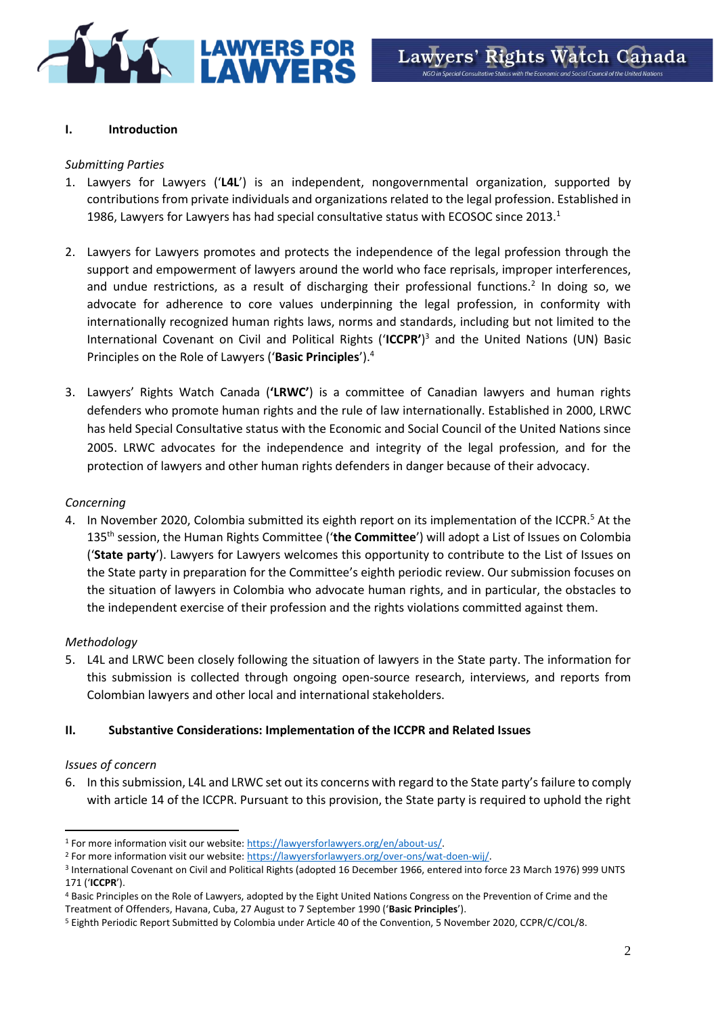

# **I. Introduction**

### *Submitting Parties*

- 1. Lawyers for Lawyers ('**L4L**') is an independent, nongovernmental organization, supported by contributions from private individuals and organizations related to the legal profession. Established in 1986, Lawyers for Lawyers has had special consultative status with ECOSOC since  $2013.<sup>1</sup>$
- 2. Lawyers for Lawyers promotes and protects the independence of the legal profession through the support and empowerment of lawyers around the world who face reprisals, improper interferences, and undue restrictions, as a result of discharging their professional functions.<sup>2</sup> In doing so, we advocate for adherence to core values underpinning the legal profession, in conformity with internationally recognized human rights laws, norms and standards, including but not limited to the International Covenant on Civil and Political Rights ('**ICCPR'**) <sup>3</sup> and the United Nations (UN) Basic Principles on the Role of Lawyers ('**Basic Principles**').<sup>4</sup>
- 3. Lawyers' Rights Watch Canada (**'LRWC'**) is a committee of Canadian lawyers and human rights defenders who promote human rights and the rule of law internationally. Established in 2000, LRWC has held Special Consultative status with the Economic and Social Council of the United Nations since 2005. LRWC advocates for the independence and integrity of the legal profession, and for the protection of lawyers and other human rights defenders in danger because of their advocacy.

#### *Concerning*

4. In November 2020, Colombia submitted its eighth report on its implementation of the ICCPR.<sup>5</sup> At the 135th session, the Human Rights Committee ('**the Committee**') will adopt a List of Issues on Colombia ('**State party**'). Lawyers for Lawyers welcomes this opportunity to contribute to the List of Issues on the State party in preparation for the Committee's eighth periodic review. Our submission focuses on the situation of lawyers in Colombia who advocate human rights, and in particular, the obstacles to the independent exercise of their profession and the rights violations committed against them.

### *Methodology*

5. L4L and LRWC been closely following the situation of lawyers in the State party. The information for this submission is collected through ongoing open-source research, interviews, and reports from Colombian lawyers and other local and international stakeholders.

### **II. Substantive Considerations: Implementation of the ICCPR and Related Issues**

### *Issues of concern*

6. In this submission, L4L and LRWC set out its concerns with regard to the State party's failure to comply with article 14 of the ICCPR. Pursuant to this provision, the State party is required to uphold the right

<sup>1</sup> For more information visit our website: [https://lawyersforlawyers.org/en/about-us/.](https://lawyersforlawyers.org/en/about-us/)

<sup>2</sup> For more information visit our website: [https://lawyersforlawyers.org/over-ons/wat-doen-wij/.](https://lawyersforlawyers.org/over-ons/wat-doen-wij/)

<sup>&</sup>lt;sup>3</sup> International Covenant on Civil and Political Rights (adopted 16 December 1966, entered into force 23 March 1976) 999 UNTS 171 ('**ICCPR**').

<sup>4</sup> Basic Principles on the Role of Lawyers, adopted by the Eight United Nations Congress on the Prevention of Crime and the Treatment of Offenders, Havana, Cuba, 27 August to 7 September 1990 ('**Basic Principles**').

<sup>5</sup> Eighth Periodic Report Submitted by Colombia under Article 40 of the Convention, 5 November 2020, CCPR/C/COL/8.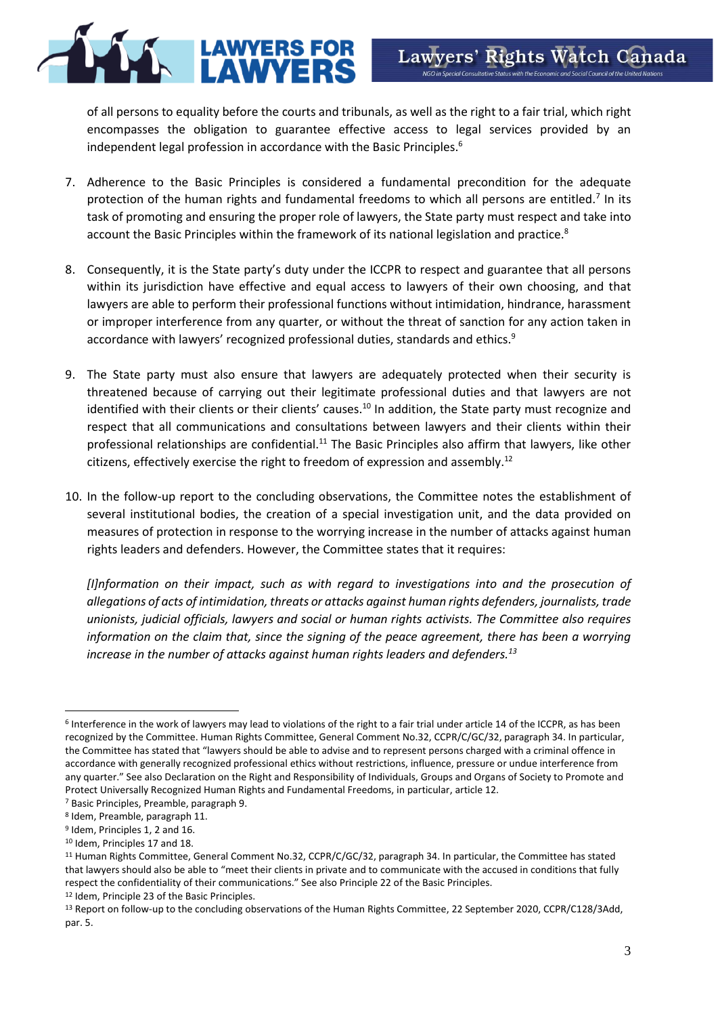of all persons to equality before the courts and tribunals, as well as the right to a fair trial, which right encompasses the obligation to guarantee effective access to legal services provided by an independent legal profession in accordance with the Basic Principles.<sup>6</sup>

- 7. Adherence to the Basic Principles is considered a fundamental precondition for the adequate protection of the human rights and fundamental freedoms to which all persons are entitled.<sup>7</sup> In its task of promoting and ensuring the proper role of lawyers, the State party must respect and take into account the Basic Principles within the framework of its national legislation and practice.<sup>8</sup>
- 8. Consequently, it is the State party's duty under the ICCPR to respect and guarantee that all persons within its jurisdiction have effective and equal access to lawyers of their own choosing, and that lawyers are able to perform their professional functions without intimidation, hindrance, harassment or improper interference from any quarter, or without the threat of sanction for any action taken in accordance with lawyers' recognized professional duties, standards and ethics.<sup>9</sup>
- 9. The State party must also ensure that lawyers are adequately protected when their security is threatened because of carrying out their legitimate professional duties and that lawyers are not identified with their clients or their clients' causes.<sup>10</sup> In addition, the State party must recognize and respect that all communications and consultations between lawyers and their clients within their professional relationships are confidential.<sup>11</sup> The Basic Principles also affirm that lawyers, like other citizens, effectively exercise the right to freedom of expression and assembly.<sup>12</sup>
- 10. In the follow-up report to the concluding observations, the Committee notes the establishment of several institutional bodies, the creation of a special investigation unit, and the data provided on measures of protection in response to the worrying increase in the number of attacks against human rights leaders and defenders. However, the Committee states that it requires:

*[I]nformation on their impact, such as with regard to investigations into and the prosecution of allegations of acts of intimidation, threats or attacks against human rights defenders, journalists, trade unionists, judicial officials, lawyers and social or human rights activists. The Committee also requires information on the claim that, since the signing of the peace agreement, there has been a worrying increase in the number of attacks against human rights leaders and defenders.<sup>13</sup>*

<sup>&</sup>lt;sup>6</sup> Interference in the work of lawyers may lead to violations of the right to a fair trial under article 14 of the ICCPR, as has been recognized by the Committee. Human Rights Committee, General Comment No.32, CCPR/C/GC/32, paragraph 34. In particular, the Committee has stated that "lawyers should be able to advise and to represent persons charged with a criminal offence in accordance with generally recognized professional ethics without restrictions, influence, pressure or undue interference from any quarter." See also Declaration on the Right and Responsibility of Individuals, Groups and Organs of Society to Promote and Protect Universally Recognized Human Rights and Fundamental Freedoms, in particular, article 12.

<sup>7</sup> Basic Principles, Preamble, paragraph 9.

<sup>8</sup> Idem, Preamble, paragraph 11.

<sup>&</sup>lt;sup>9</sup> Idem, Principles 1, 2 and 16.

<sup>10</sup> Idem, Principles 17 and 18.

<sup>&</sup>lt;sup>11</sup> Human Rights Committee, General Comment No.32, CCPR/C/GC/32, paragraph 34. In particular, the Committee has stated that lawyers should also be able to "meet their clients in private and to communicate with the accused in conditions that fully respect the confidentiality of their communications." See also Principle 22 of the Basic Principles.

<sup>12</sup> Idem, Principle 23 of the Basic Principles.

<sup>13</sup> Report on follow-up to the concluding observations of the Human Rights Committee, 22 September 2020, CCPR/C128/3Add, par. 5.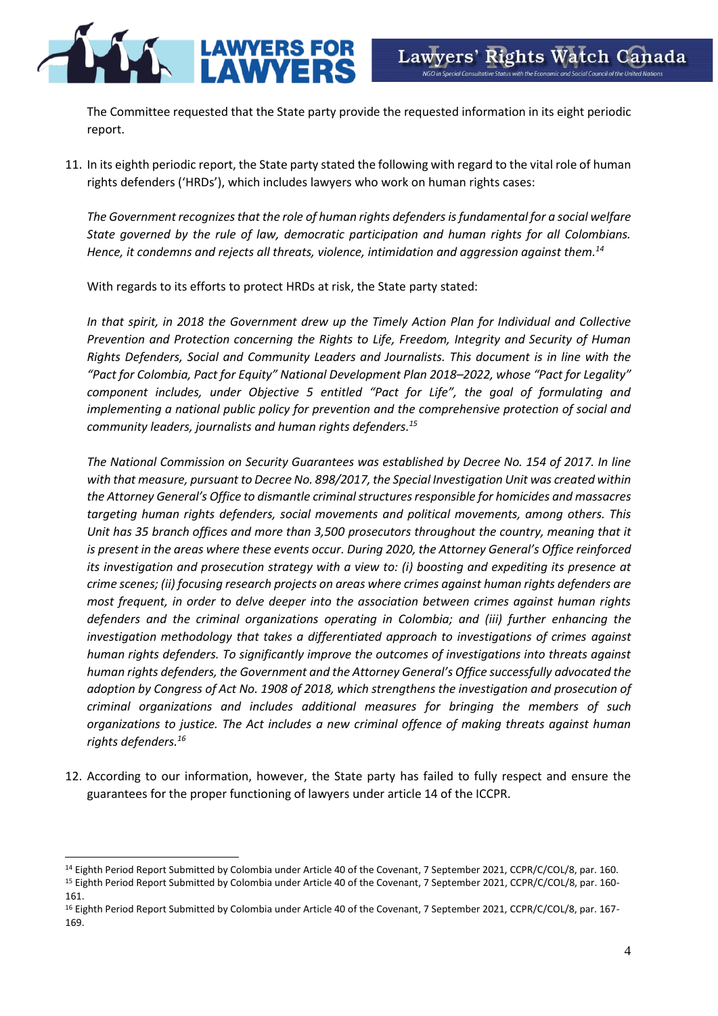

The Committee requested that the State party provide the requested information in its eight periodic report.

11. In its eighth periodic report, the State party stated the following with regard to the vital role of human rights defenders ('HRDs'), which includes lawyers who work on human rights cases:

*The Government recognizes that the role of human rights defenders is fundamental for a social welfare State governed by the rule of law, democratic participation and human rights for all Colombians. Hence, it condemns and rejects all threats, violence, intimidation and aggression against them.<sup>14</sup>*

With regards to its efforts to protect HRDs at risk, the State party stated:

*In that spirit, in 2018 the Government drew up the Timely Action Plan for Individual and Collective Prevention and Protection concerning the Rights to Life, Freedom, Integrity and Security of Human Rights Defenders, Social and Community Leaders and Journalists. This document is in line with the "Pact for Colombia, Pact for Equity" National Development Plan 2018–2022, whose "Pact for Legality" component includes, under Objective 5 entitled "Pact for Life", the goal of formulating and implementing a national public policy for prevention and the comprehensive protection of social and community leaders, journalists and human rights defenders. 15*

*The National Commission on Security Guarantees was established by Decree No. 154 of 2017. In line with that measure, pursuant to Decree No. 898/2017, the Special Investigation Unit was created within the Attorney General's Office to dismantle criminal structures responsible for homicides and massacres targeting human rights defenders, social movements and political movements, among others. This Unit has 35 branch offices and more than 3,500 prosecutors throughout the country, meaning that it is present in the areas where these events occur. During 2020, the Attorney General's Office reinforced its investigation and prosecution strategy with a view to: (i) boosting and expediting its presence at crime scenes; (ii) focusing research projects on areas where crimes against human rights defenders are most frequent, in order to delve deeper into the association between crimes against human rights defenders and the criminal organizations operating in Colombia; and (iii) further enhancing the investigation methodology that takes a differentiated approach to investigations of crimes against human rights defenders. To significantly improve the outcomes of investigations into threats against human rights defenders, the Government and the Attorney General's Office successfully advocated the adoption by Congress of Act No. 1908 of 2018, which strengthens the investigation and prosecution of criminal organizations and includes additional measures for bringing the members of such organizations to justice. The Act includes a new criminal offence of making threats against human rights defenders. 16*

12. According to our information, however, the State party has failed to fully respect and ensure the guarantees for the proper functioning of lawyers under article 14 of the ICCPR.

<sup>&</sup>lt;sup>14</sup> Eighth Period Report Submitted by Colombia under Article 40 of the Covenant, 7 September 2021, CCPR/C/COL/8, par. 160. <sup>15</sup> Eighth Period Report Submitted by Colombia under Article 40 of the Covenant, 7 September 2021, CCPR/C/COL/8, par. 160-161.

<sup>16</sup> Eighth Period Report Submitted by Colombia under Article 40 of the Covenant, 7 September 2021, CCPR/C/COL/8, par. 167- 169.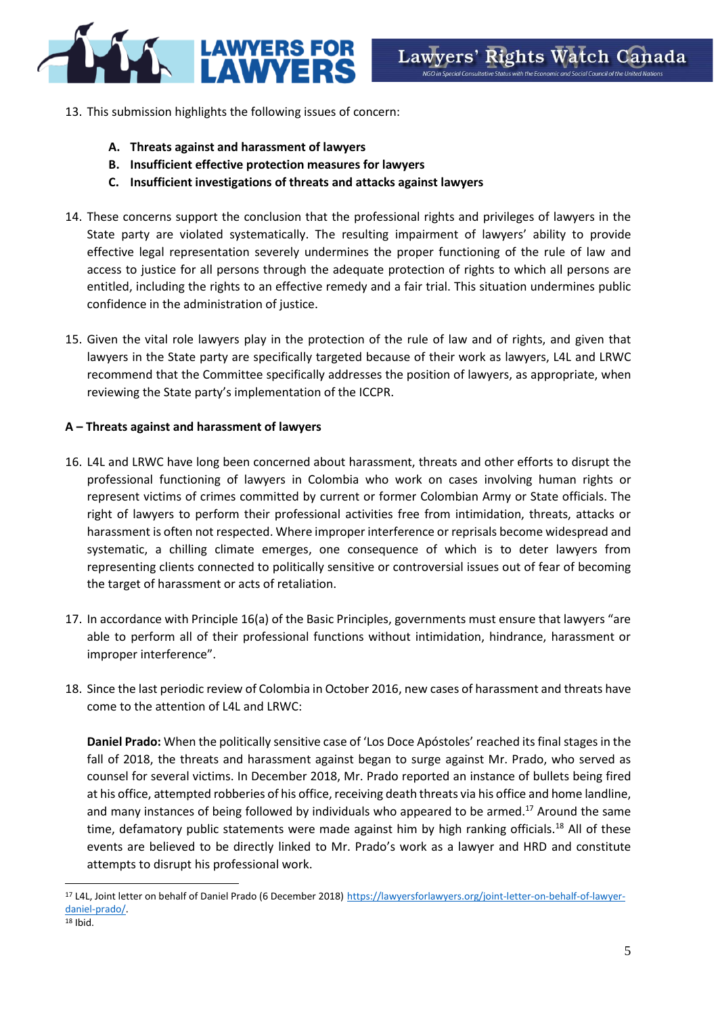

- 13. This submission highlights the following issues of concern:
	- **A. Threats against and harassment of lawyers**
	- **B. Insufficient effective protection measures for lawyers**
	- **C. Insufficient investigations of threats and attacks against lawyers**
- 14. These concerns support the conclusion that the professional rights and privileges of lawyers in the State party are violated systematically. The resulting impairment of lawyers' ability to provide effective legal representation severely undermines the proper functioning of the rule of law and access to justice for all persons through the adequate protection of rights to which all persons are entitled, including the rights to an effective remedy and a fair trial. This situation undermines public confidence in the administration of justice.
- 15. Given the vital role lawyers play in the protection of the rule of law and of rights, and given that lawyers in the State party are specifically targeted because of their work as lawyers, L4L and LRWC recommend that the Committee specifically addresses the position of lawyers, as appropriate, when reviewing the State party's implementation of the ICCPR.

# **A – Threats against and harassment of lawyers**

- 16. L4L and LRWC have long been concerned about harassment, threats and other efforts to disrupt the professional functioning of lawyers in Colombia who work on cases involving human rights or represent victims of crimes committed by current or former Colombian Army or State officials. The right of lawyers to perform their professional activities free from intimidation, threats, attacks or harassment is often not respected. Where improper interference or reprisals become widespread and systematic, a chilling climate emerges, one consequence of which is to deter lawyers from representing clients connected to politically sensitive or controversial issues out of fear of becoming the target of harassment or acts of retaliation.
- 17. In accordance with Principle 16(a) of the Basic Principles, governments must ensure that lawyers "are able to perform all of their professional functions without intimidation, hindrance, harassment or improper interference".
- 18. Since the last periodic review of Colombia in October 2016, new cases of harassment and threats have come to the attention of L4L and LRWC:

**Daniel Prado:** When the politically sensitive case of 'Los Doce Apóstoles' reached its final stages in the fall of 2018, the threats and harassment against began to surge against Mr. Prado, who served as counsel for several victims. In December 2018, Mr. Prado reported an instance of bullets being fired at his office, attempted robberies of his office, receiving death threats via his office and home landline, and many instances of being followed by individuals who appeared to be armed.<sup>17</sup> Around the same time, defamatory public statements were made against him by high ranking officials.<sup>18</sup> All of these events are believed to be directly linked to Mr. Prado's work as a lawyer and HRD and constitute attempts to disrupt his professional work.

<sup>&</sup>lt;sup>17</sup> L4L, Joint letter on behalf of Daniel Prado (6 December 2018) [https://lawyersforlawyers.org/joint-letter-on-behalf-of-lawyer](https://lawyersforlawyers.org/joint-letter-on-behalf-of-lawyer-daniel-prado/)[daniel-prado/.](https://lawyersforlawyers.org/joint-letter-on-behalf-of-lawyer-daniel-prado/)   $18$  Ibid.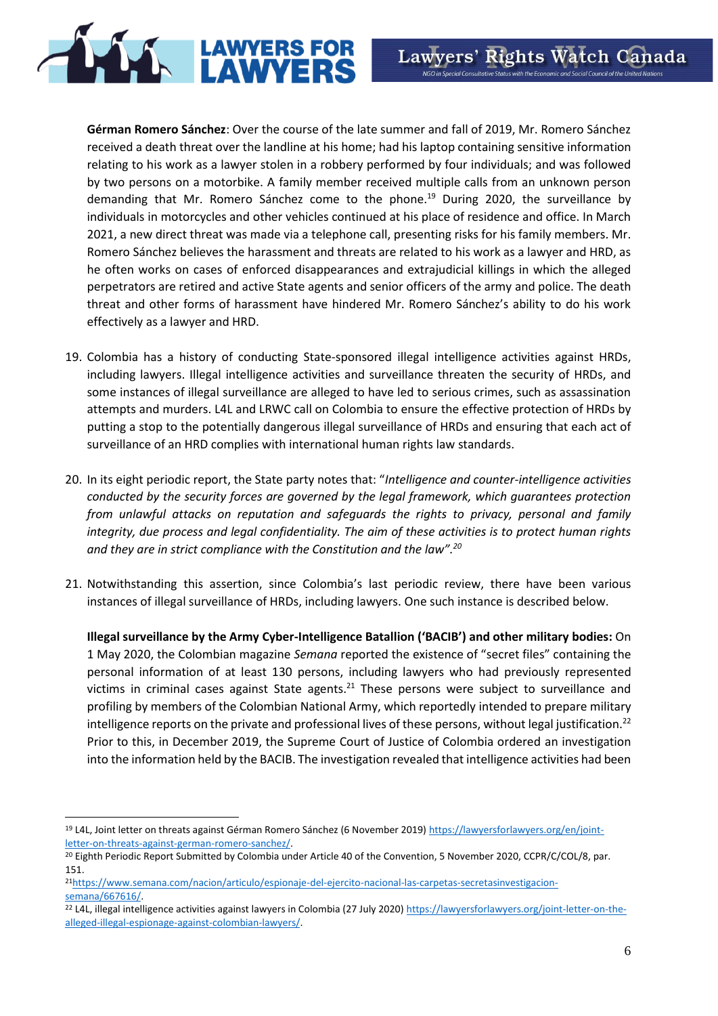

**Gérman Romero Sánchez**: Over the course of the late summer and fall of 2019, Mr. Romero Sánchez received a death threat over the landline at his home; had his laptop containing sensitive information relating to his work as a lawyer stolen in a robbery performed by four individuals; and was followed by two persons on a motorbike. A family member received multiple calls from an unknown person demanding that Mr. Romero Sánchez come to the phone.<sup>19</sup> During 2020, the surveillance by individuals in motorcycles and other vehicles continued at his place of residence and office. In March 2021, a new direct threat was made via a telephone call, presenting risks for his family members. Mr. Romero Sánchez believes the harassment and threats are related to his work as a lawyer and HRD, as he often works on cases of enforced disappearances and extrajudicial killings in which the alleged perpetrators are retired and active State agents and senior officers of the army and police. The death threat and other forms of harassment have hindered Mr. Romero Sánchez's ability to do his work effectively as a lawyer and HRD.

- 19. Colombia has a history of conducting State-sponsored illegal intelligence activities against HRDs, including lawyers. Illegal intelligence activities and surveillance threaten the security of HRDs, and some instances of illegal surveillance are alleged to have led to serious crimes, such as assassination attempts and murders. L4L and LRWC call on Colombia to ensure the effective protection of HRDs by putting a stop to the potentially dangerous illegal surveillance of HRDs and ensuring that each act of surveillance of an HRD complies with international human rights law standards.
- 20. In its eight periodic report, the State party notes that: "*Intelligence and counter-intelligence activities conducted by the security forces are governed by the legal framework, which guarantees protection from unlawful attacks on reputation and safeguards the rights to privacy, personal and family integrity, due process and legal confidentiality. The aim of these activities is to protect human rights and they are in strict compliance with the Constitution and the law".<sup>20</sup>*
- 21. Notwithstanding this assertion, since Colombia's last periodic review, there have been various instances of illegal surveillance of HRDs, including lawyers. One such instance is described below.

**Illegal surveillance by the Army Cyber-Intelligence Batallion ('BACIB') and other military bodies:** On 1 May 2020, the Colombian magazine *Semana* reported the existence of "secret files" containing the personal information of at least 130 persons, including lawyers who had previously represented victims in criminal cases against State agents.<sup>21</sup> These persons were subject to surveillance and profiling by members of the Colombian National Army, which reportedly intended to prepare military intelligence reports on the private and professional lives of these persons, without legal justification.<sup>22</sup> Prior to this, in December 2019, the Supreme Court of Justice of Colombia ordered an investigation into the information held by the BACIB. The investigation revealed that intelligence activities had been

<sup>19</sup> L4L, Joint letter on threats against Gérman Romero Sánchez (6 November 2019) [https://lawyersforlawyers.org/en/joint](https://lawyersforlawyers.org/en/joint-letter-on-threats-against-german-romero-sanchez/)[letter-on-threats-against-german-romero-sanchez/.](https://lawyersforlawyers.org/en/joint-letter-on-threats-against-german-romero-sanchez/)

<sup>&</sup>lt;sup>20</sup> Eighth Periodic Report Submitted by Colombia under Article 40 of the Convention, 5 November 2020, CCPR/C/COL/8, par. 151.

<sup>21</sup>[https://www.semana.com/nacion/articulo/espionaje-del-ejercito-nacional-las-carpetas-secretasinvestigacion](https://www.semana.com/nacion/articulo/espionaje-del-ejercito-nacional-las-carpetas-secretasinvestigacion-semana/667616/)[semana/667616/.](https://www.semana.com/nacion/articulo/espionaje-del-ejercito-nacional-las-carpetas-secretasinvestigacion-semana/667616/)

<sup>&</sup>lt;sup>22</sup> L4L, illegal intelligence activities against lawyers in Colombia (27 July 2020) [https://lawyersforlawyers.org/joint-letter-on-the](https://lawyersforlawyers.org/joint-letter-on-the-alleged-illegal-espionage-against-colombian-lawyers/)[alleged-illegal-espionage-against-colombian-lawyers/.](https://lawyersforlawyers.org/joint-letter-on-the-alleged-illegal-espionage-against-colombian-lawyers/)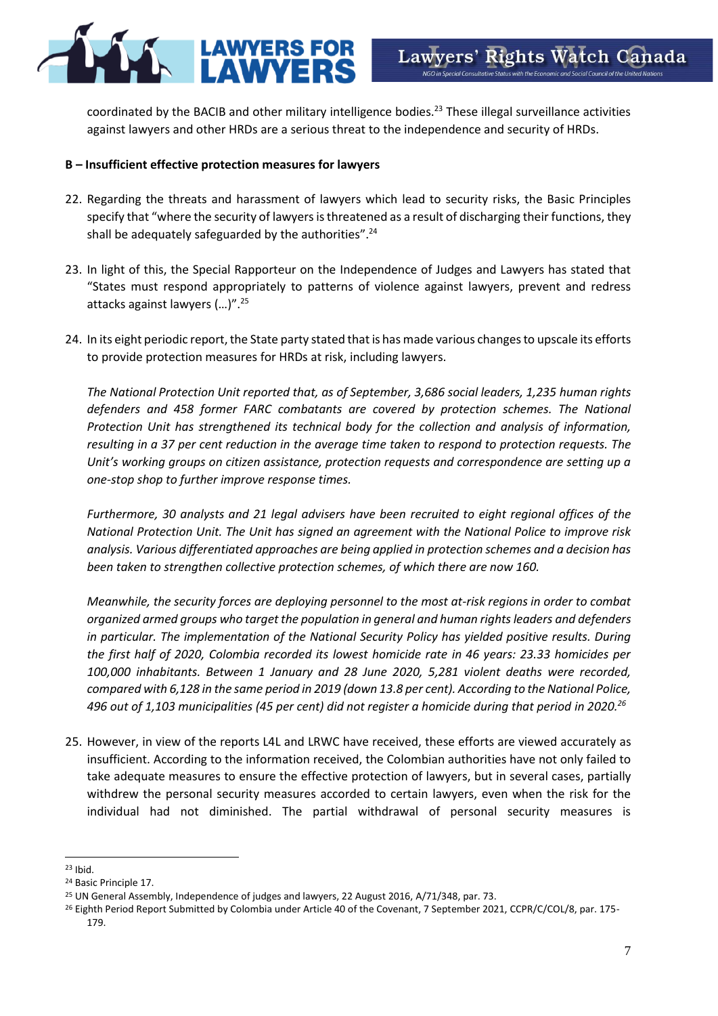

coordinated by the BACIB and other military intelligence bodies.<sup>23</sup> These illegal surveillance activities against lawyers and other HRDs are a serious threat to the independence and security of HRDs.

# **B – Insufficient effective protection measures for lawyers**

- 22. Regarding the threats and harassment of lawyers which lead to security risks, the Basic Principles specify that "where the security of lawyers is threatened as a result of discharging their functions, they shall be adequately safeguarded by the authorities".<sup>24</sup>
- 23. In light of this, the Special Rapporteur on the Independence of Judges and Lawyers has stated that "States must respond appropriately to patterns of violence against lawyers, prevent and redress attacks against lawyers (…)".<sup>25</sup>
- 24. In its eight periodic report, the State party stated that is has made various changes to upscale its efforts to provide protection measures for HRDs at risk, including lawyers.

*The National Protection Unit reported that, as of September, 3,686 social leaders, 1,235 human rights defenders and 458 former FARC combatants are covered by protection schemes. The National Protection Unit has strengthened its technical body for the collection and analysis of information, resulting in a 37 per cent reduction in the average time taken to respond to protection requests. The Unit's working groups on citizen assistance, protection requests and correspondence are setting up a one-stop shop to further improve response times.*

*Furthermore, 30 analysts and 21 legal advisers have been recruited to eight regional offices of the National Protection Unit. The Unit has signed an agreement with the National Police to improve risk analysis. Various differentiated approaches are being applied in protection schemes and a decision has been taken to strengthen collective protection schemes, of which there are now 160.*

*Meanwhile, the security forces are deploying personnel to the most at-risk regions in order to combat organized armed groups who target the population in general and human rights leaders and defenders in particular. The implementation of the National Security Policy has yielded positive results. During the first half of 2020, Colombia recorded its lowest homicide rate in 46 years: 23.33 homicides per 100,000 inhabitants. Between 1 January and 28 June 2020, 5,281 violent deaths were recorded, compared with 6,128 in the same period in 2019 (down 13.8 per cent). According to the National Police, 496 out of 1,103 municipalities (45 per cent) did not register a homicide during that period in 2020.<sup>26</sup>*

25. However, in view of the reports L4L and LRWC have received, these efforts are viewed accurately as insufficient. According to the information received, the Colombian authorities have not only failed to take adequate measures to ensure the effective protection of lawyers, but in several cases, partially withdrew the personal security measures accorded to certain lawyers, even when the risk for the individual had not diminished. The partial withdrawal of personal security measures is

 $23$  Ibid.

<sup>24</sup> Basic Principle 17.

<sup>&</sup>lt;sup>25</sup> UN General Assembly, Independence of judges and lawyers, 22 August 2016, A/71/348, par. 73.

<sup>&</sup>lt;sup>26</sup> Eighth Period Report Submitted by Colombia under Article 40 of the Covenant, 7 September 2021, CCPR/C/COL/8, par. 175-179.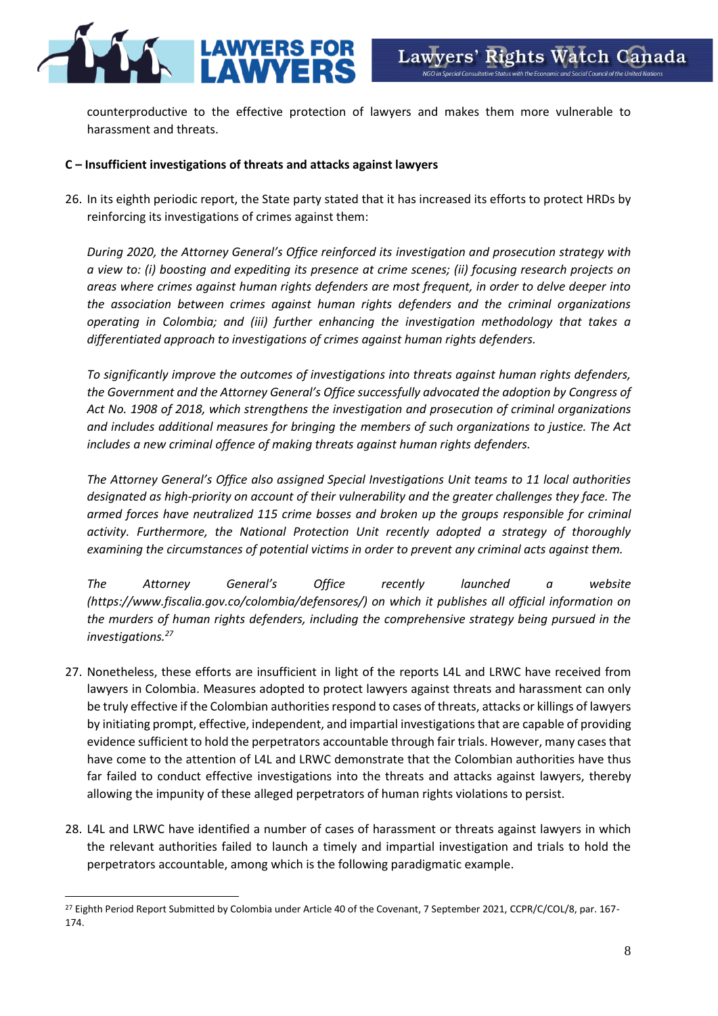

counterproductive to the effective protection of lawyers and makes them more vulnerable to harassment and threats.

# **C – Insufficient investigations of threats and attacks against lawyers**

26. In its eighth periodic report, the State party stated that it has increased its efforts to protect HRDs by reinforcing its investigations of crimes against them:

*During 2020, the Attorney General's Office reinforced its investigation and prosecution strategy with a view to: (i) boosting and expediting its presence at crime scenes; (ii) focusing research projects on areas where crimes against human rights defenders are most frequent, in order to delve deeper into the association between crimes against human rights defenders and the criminal organizations operating in Colombia; and (iii) further enhancing the investigation methodology that takes a differentiated approach to investigations of crimes against human rights defenders.*

*To significantly improve the outcomes of investigations into threats against human rights defenders, the Government and the Attorney General's Office successfully advocated the adoption by Congress of Act No. 1908 of 2018, which strengthens the investigation and prosecution of criminal organizations and includes additional measures for bringing the members of such organizations to justice. The Act includes a new criminal offence of making threats against human rights defenders.*

*The Attorney General's Office also assigned Special Investigations Unit teams to 11 local authorities designated as high-priority on account of their vulnerability and the greater challenges they face. The armed forces have neutralized 115 crime bosses and broken up the groups responsible for criminal activity. Furthermore, the National Protection Unit recently adopted a strategy of thoroughly examining the circumstances of potential victims in order to prevent any criminal acts against them.*

*The Attorney General's Office recently launched a website (https://www.fiscalia.gov.co/colombia/defensores/) on which it publishes all official information on the murders of human rights defenders, including the comprehensive strategy being pursued in the investigations.<sup>27</sup>*

- 27. Nonetheless, these efforts are insufficient in light of the reports L4L and LRWC have received from lawyers in Colombia. Measures adopted to protect lawyers against threats and harassment can only be truly effective if the Colombian authorities respond to cases of threats, attacks or killings of lawyers by initiating prompt, effective, independent, and impartial investigationsthat are capable of providing evidence sufficient to hold the perpetrators accountable through fair trials. However, many cases that have come to the attention of L4L and LRWC demonstrate that the Colombian authorities have thus far failed to conduct effective investigations into the threats and attacks against lawyers, thereby allowing the impunity of these alleged perpetrators of human rights violations to persist.
- 28. L4L and LRWC have identified a number of cases of harassment or threats against lawyers in which the relevant authorities failed to launch a timely and impartial investigation and trials to hold the perpetrators accountable, among which is the following paradigmatic example.

<sup>&</sup>lt;sup>27</sup> Eighth Period Report Submitted by Colombia under Article 40 of the Covenant, 7 September 2021, CCPR/C/COL/8, par. 167-174.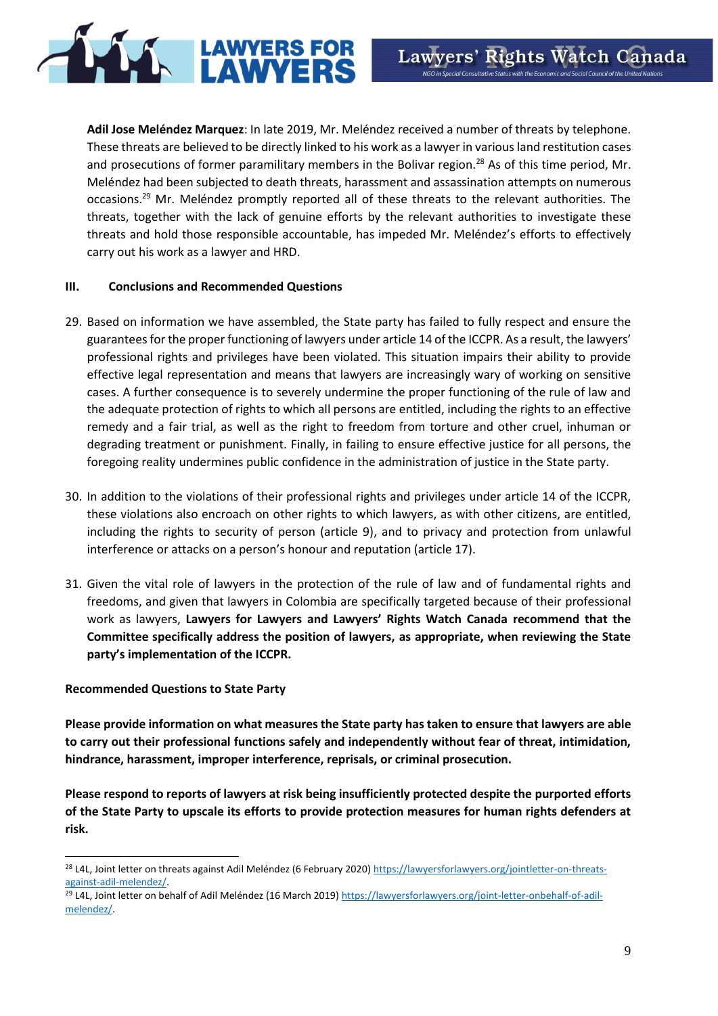**Adil Jose Meléndez Marquez**: In late 2019, Mr. Meléndez received a number of threats by telephone. These threats are believed to be directly linked to his work as a lawyer in various land restitution cases and prosecutions of former paramilitary members in the Bolivar region.<sup>28</sup> As of this time period, Mr. Meléndez had been subjected to death threats, harassment and assassination attempts on numerous occasions.<sup>29</sup> Mr. Meléndez promptly reported all of these threats to the relevant authorities. The threats, together with the lack of genuine efforts by the relevant authorities to investigate these threats and hold those responsible accountable, has impeded Mr. Meléndez's efforts to effectively carry out his work as a lawyer and HRD.

LAWYERS FOR

#### **III. Conclusions and Recommended Questions**

- 29. Based on information we have assembled, the State party has failed to fully respect and ensure the guarantees for the proper functioning of lawyers under article 14 of the ICCPR. As a result, the lawyers' professional rights and privileges have been violated. This situation impairs their ability to provide effective legal representation and means that lawyers are increasingly wary of working on sensitive cases. A further consequence is to severely undermine the proper functioning of the rule of law and the adequate protection of rights to which all persons are entitled, including the rights to an effective remedy and a fair trial, as well as the right to freedom from torture and other cruel, inhuman or degrading treatment or punishment. Finally, in failing to ensure effective justice for all persons, the foregoing reality undermines public confidence in the administration of justice in the State party.
- 30. In addition to the violations of their professional rights and privileges under article 14 of the ICCPR, these violations also encroach on other rights to which lawyers, as with other citizens, are entitled, including the rights to security of person (article 9), and to privacy and protection from unlawful interference or attacks on a person's honour and reputation (article 17).
- 31. Given the vital role of lawyers in the protection of the rule of law and of fundamental rights and freedoms, and given that lawyers in Colombia are specifically targeted because of their professional work as lawyers, **Lawyers for Lawyers and Lawyers' Rights Watch Canada recommend that the Committee specifically address the position of lawyers, as appropriate, when reviewing the State party's implementation of the ICCPR.**

### **Recommended Questions to State Party**

**Please provide information on what measures the State party has taken to ensure that lawyers are able to carry out their professional functions safely and independently without fear of threat, intimidation, hindrance, harassment, improper interference, reprisals, or criminal prosecution.**

**Please respond to reports of lawyers at risk being insufficiently protected despite the purported efforts of the State Party to upscale its efforts to provide protection measures for human rights defenders at risk.** 

<sup>&</sup>lt;sup>28</sup> L4L, Joint letter on threats against Adil Meléndez (6 February 2020) [https://lawyersforlawyers.org/jointletter-on-threats](https://lawyersforlawyers.org/jointletter-on-threats-against-adil-melendez/)[against-adil-melendez/.](https://lawyersforlawyers.org/jointletter-on-threats-against-adil-melendez/)

<sup>&</sup>lt;sup>29</sup> L4L, Joint letter on behalf of Adil Meléndez (16 March 2019[\) https://lawyersforlawyers.org/joint-letter-onbehalf-of-adil](https://lawyersforlawyers.org/joint-letter-onbehalf-of-adil-melendez/)[melendez/.](https://lawyersforlawyers.org/joint-letter-onbehalf-of-adil-melendez/)